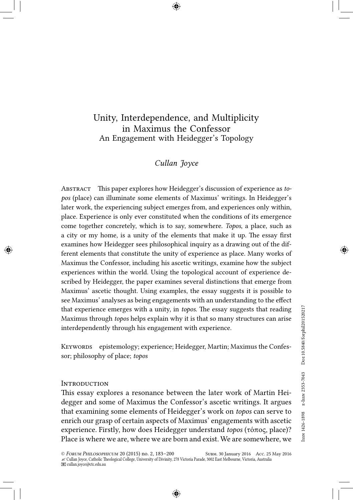# Unity, Interdependence, and Multiplicity in Maximus the Confessor An Engagement with Heidegger's Topology

# *Cullan Joyce*

Abstract This paper explores how Heidegger's discussion of experience as *topos* (place) can illuminate some elements of Maximus' writings. In Heidegger's later work, the experiencing subject emerges from, and experiences only within, place. Experience is only ever constituted when the conditions of its emergence come together concretely, which is to say, somewhere. *Topos*, a place, such as a city or my home, is a unity of the elements that make it up. The essay first examines how Heidegger sees philosophical inquiry as a drawing out of the different elements that constitute the unity of experience as place. Many works of Maximus the Confessor, including his ascetic writings, examine how the subject experiences within the world. Using the topological account of experience described by Heidegger, the paper examines several distinctions that emerge from Maximus' ascetic thought. Using examples, the essay suggests it is possible to see Maximus' analyses as being engagements with an understanding to the effect that experience emerges with a unity, in *topos*. The essay suggests that reading Maximus through *topos* helps explain why it is that so many structures can arise interdependently through his engagement with experience.

KEYWORDS epistemology; experience; Heidegger, Martin; Maximus the Confessor; philosophy of place; *topos*

#### **INTRODUCTION**

This essay explores a resonance between the later work of Martin Heidegger and some of Maximus the Confessor's ascetic writings. It argues that examining some elements of Heidegger's work on *topos* can serve to enrich our grasp of certain aspects of Maximus' engagements with ascetic experience. Firstly, how does Heidegger understand *topos* (τόπος, place)? Place is where we are, where we are born and exist. We are somewhere, we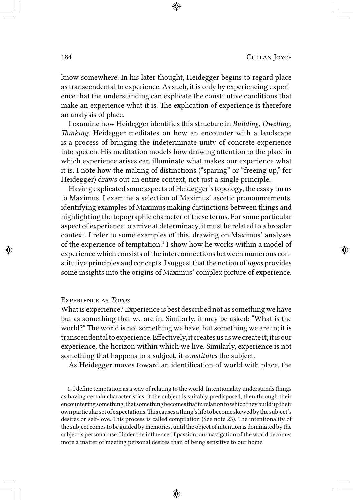know somewhere. In his later thought, Heidegger begins to regard place as transcendental to experience. As such, it is only by experiencing experience that the understanding can explicate the constitutive conditions that make an experience what it is. The explication of experience is therefore an analysis of place.

I examine how Heidegger identifies this structure in *Building, Dwelling, Thinking*. Heidegger meditates on how an encounter with a landscape is a process of bringing the indeterminate unity of concrete experience into speech. His meditation models how drawing attention to the place in which experience arises can illuminate what makes our experience what it is. I note how the making of distinctions ("sparing" or "freeing up," for Heidegger) draws out an entire context, not just a single principle.

Having explicated some aspects of Heidegger's topology, the essay turns to Maximus. I examine a selection of Maximus' ascetic pronouncements, identifying examples of Maximus making distinctions between things and highlighting the topographic character of these terms. For some particular aspect of experience to arrive at determinacy, it must be related to a broader context. I refer to some examples of this, drawing on Maximus' analyses of the experience of temptation.<sup>1</sup> I show how he works within a model of experience which consists of the interconnections between numerous constitutive principles and concepts. I suggest that the notion of *topos* provides some insights into the origins of Maximus' complex picture of experience.

## Experience as *Topos*

What is experience? Experience is best described not as something we have but as something that we are in. Similarly, it may be asked: "What is the world?" The world is not something we have, but something we are in; it is transcendental to experience. Effectively, it creates us as we create it; it is our experience, the horizon within which we live. Similarly, experience is not something that happens to a subject, it *constitutes* the subject.

As Heidegger moves toward an identification of world with place, the

1. I define temptation as a way of relating to the world. Intentionality understands things as having certain characteristics: if the subject is suitably predisposed, then through their encountering something, that something becomes that in relation to which they build up their ownparticularsetofexpectations.Thiscausesathing'slifetobecomeskewedbythesubject's desires or self-love. This process is called compilation (See note 23). The intentionality of the subject comes to be guided by memories, until the object of intention is dominated by the subject's personal use. Under the influence of passion, our navigation of the world becomes more a matter of meeting personal desires than of being sensitive to our home.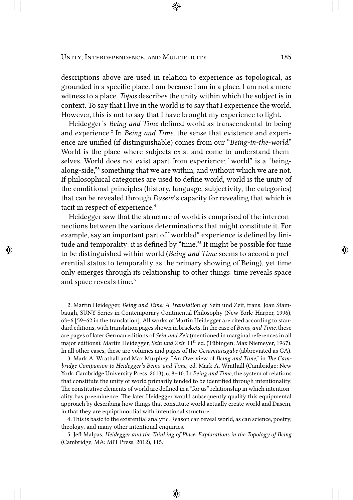descriptions above are used in relation to experience as topological, as grounded in a specific place. I am because I am in a place. I am not a mere witness to a place. *Topos* describes the unity within which the subject is in context. To say that I live in the world is to say that I experience the world. However, this is not to say that I have brought my experience to light.

Heidegger's *Being and Time* defined world as transcendental to being and experience.² In *Being and Time*, the sense that existence and experience are unified (if distinguishable) comes from our "*Being-in-the-world*." World is the place where subjects exist and come to understand themselves. World does not exist apart from experience; "world" is a "beingalong-side," something that we are within, and without which we are not. If philosophical categories are used to define world, world is the unity of the conditional principles (history, language, subjectivity, the categories) that can be revealed through *Dasein*'s capacity for revealing that which is tacit in respect of experience.<sup>4</sup>

Heidegger saw that the structure of world is comprised of the interconnections between the various determinations that might constitute it. For example, say an important part of "worlded" experience is defined by finitude and temporality: it is defined by "time."<sup>5</sup> It might be possible for time to be distinguished within world (*Being and Time* seems to accord a preferential status to temporality as the primary showing of Being), yet time only emerges through its relationship to other things: time reveals space and space reveals time.<sup>6</sup>

2. Martin Heidegger, *Being and Time: A Translation of* Sein und Zeit, trans. Joan Stambaugh, SUNY Series in Contemporary Continental Philosophy (New York: Harper, 1996), 63–6 [59–62 in the translation]. All works of Martin Heidegger are cited according to standard editions, with translation pages shown in brackets. In the case of *Being and Time*, these are pages of later German editions of *Sein und Zeit* (mentioned in marginal references in all major editions): Martin Heidegger, *Sein und Zeit*, 11<sup>th</sup> ed. (Tübingen: Max Niemeyer, 1967). In all other cases, these are volumes and pages of the *Gesamtausgabe* (abbreviated as GA).

3. Mark A. Wrathall and Max Murphey, "An Overview of *Being and Time*," in *The Cambridge Companion to Heidegger's Being and Time*, ed. Mark A. Wrathall (Cambridge; New York: Cambridge University Press, 2013), 6, 8–10. In *Being and Time*, the system of relations that constitute the unity of world primarily tended to be identified through intentionality. The constitutive elements of world are defined in a "for us" relationship in which intentionality has preeminence. The later Heidegger would subsequently qualify this equipmental approach by describing how things that constitute world actually create world and Dasein, in that they are equiprimordial with intentional structure.

4. This is basic to the existential analytic. Reason can reveal world, as can science, poetry, theology, and many other intentional enquiries.

5. Jeff Malpas, *Heidegger and the Thinking of Place: Explorations in the Topology of Being* (Cambridge, MA: MIT Press, 2012), 115.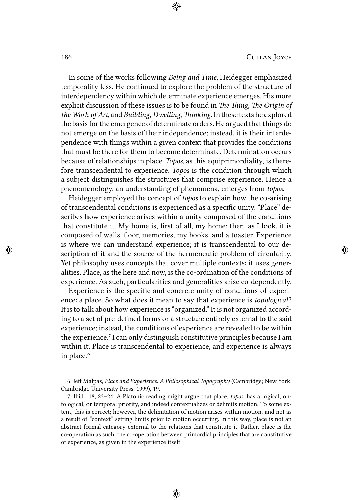In some of the works following *Being and Time*, Heidegger emphasized temporality less. He continued to explore the problem of the structure of interdependency within which determinate experience emerges. His more explicit discussion of these issues is to be found in *The Thing*, *The Origin of the Work of Art*, and *Building, Dwelling, Thinking*. In these texts he explored the basis for the emergence of determinate orders. He argued that things do not emerge on the basis of their independence; instead, it is their interdependence with things within a given context that provides the conditions that must be there for them to become determinate. Determination occurs because of relationships in place. *Topos*, as this equiprimordiality, is therefore transcendental to experience. *Topos* is the condition through which a subject distinguishes the structures that comprise experience. Hence a phenomenology, an understanding of phenomena, emerges from *topos*.

Heidegger employed the concept of *topos* to explain how the co-arising of transcendental conditions is experienced as a specific unity. "Place" describes how experience arises within a unity composed of the conditions that constitute it. My home is, first of all, my home; then, as I look, it is composed of walls, floor, memories, my books, and a toaster. Experience is where we can understand experience; it is transcendental to our description of it and the source of the hermeneutic problem of circularity. Yet philosophy uses concepts that cover multiple contexts: it uses generalities. Place, as the here and now, is the co-ordination of the conditions of experience. As such, particularities and generalities arise co-dependently.

Experience is the specific and concrete unity of conditions of experience: a place. So what does it mean to say that experience is *topological*? It is to talk about how experience is "organized." It is not organized according to a set of pre-defined forms or a structure entirely external to the said experience; instead, the conditions of experience are revealed to be within the experience.<sup>7</sup> I can only distinguish constitutive principles because I am within it. Place is transcendental to experience, and experience is always in place.<sup>8</sup>

6. Jeff Malpas, *Place and Experience: A Philosophical Topography* (Cambridge; New York: Cambridge University Press, 1999), 19.

7. Ibid., 18, 23–24. A Platonic reading might argue that place, *topos*, has a logical, ontological, or temporal priority, and indeed contextualizes or delimits motion. To some extent, this is correct; however, the delimitation of motion arises within motion, and not as a result of "context" setting limits prior to motion occurring. In this way, place is not an abstract formal category external to the relations that constitute it. Rather, place is the co-operation as such: the co-operation between primordial principles that are constitutive of experience, as given in the experience itself.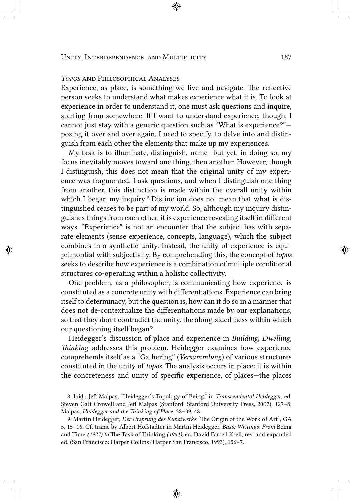# *Topos* and Philosophical Analyses

Experience, as place, is something we live and navigate. The reflective person seeks to understand what makes experience what it is. To look at experience in order to understand it, one must ask questions and inquire, starting from somewhere. If I want to understand experience, though, I cannot just stay with a generic question such as "What is experience?" posing it over and over again. I need to specify, to delve into and distinguish from each other the elements that make up my experiences.

My task is to illuminate, distinguish, name—but yet, in doing so, my focus inevitably moves toward one thing, then another. However, though I distinguish, this does not mean that the original unity of my experience was fragmented. I ask questions, and when I distinguish one thing from another, this distinction is made within the overall unity within which I began my inquiry.<sup>9</sup> Distinction does not mean that what is distinguished ceases to be part of my world. So, although my inquiry distinguishes things from each other, it is experience revealing itself in different ways. "Experience" is not an encounter that the subject has with separate elements (sense experience, concepts, language), which the subject combines in a synthetic unity. Instead, the unity of experience is equiprimordial with subjectivity. By comprehending this, the concept of *topos* seeks to describe how experience is a combination of multiple conditional structures co-operating within a holistic collectivity.

One problem, as a philosopher, is communicating how experience is constituted as a concrete unity with differentiations. Experience can bring itself to determinacy, but the question is, how can it do so in a manner that does not de-contextualize the differentiations made by our explanations, so that they don't contradict the unity, the along-sided-ness within which our questioning itself began?

Heidegger's discussion of place and experience in *Building, Dwelling, Thinking* addresses this problem. Heidegger examines how experience comprehends itself as a "Gathering" (*Versammlung*) of various structures constituted in the unity of *topos*. The analysis occurs in place: it is within the concreteness and unity of specific experience, of places—the places

8. Ibid.; Jeff Malpas, "Heidegger's Topology of Being," in *Transcendental Heidegger*, ed. Steven Galt Crowell and Jeff Malpas (Stanford: Stanford University Press, 2007), 127–8; Malpas, *Heidegger and the Thinking of Place*, 38–39, 48.

9. Martin Heidegger, *Der Ursprung des Kunstwerke* [The Origin of the Work of Art], GA 5, 15–16. Cf. trans. by Albert Hofstadter in Martin Heidegger, *Basic Writings: From* Being and Time *(1927) to* The Task of Thinking *(1964)*, ed. David Farrell Krell, rev. and expanded ed. (San Francisco: Harper Collins / Harper San Francisco, 1993), 156–7.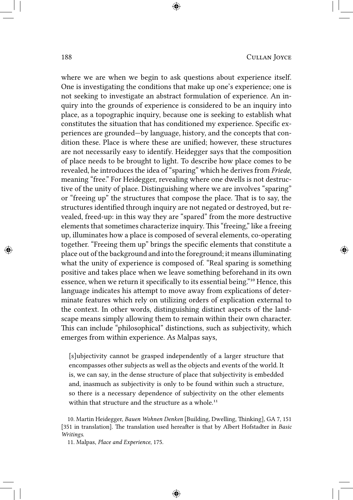where we are when we begin to ask questions about experience itself. One is investigating the conditions that make up one's experience; one is not seeking to investigate an abstract formulation of experience. An inquiry into the grounds of experience is considered to be an inquiry into place, as a topographic inquiry, because one is seeking to establish what constitutes the situation that has conditioned my experience. Specific experiences are grounded—by language, history, and the concepts that condition these. Place is where these are unified; however, these structures are not necessarily easy to identify. Heidegger says that the composition of place needs to be brought to light. To describe how place comes to be revealed, he introduces the idea of "sparing" which he derives from *Friede*, meaning "free." For Heidegger, revealing where one dwells is not destructive of the unity of place. Distinguishing where we are involves "sparing" or "freeing up" the structures that compose the place. That is to say, the structures identified through inquiry are not negated or destroyed, but revealed, freed-up: in this way they are "spared" from the more destructive elements that sometimes characterize inquiry. This "freeing," like a freeing up, illuminates how a place is composed of several elements, co-operating together. "Freeing them up" brings the specific elements that constitute a place out of the background and into the foreground; it means illuminating what the unity of experience is composed of. "Real sparing is something positive and takes place when we leave something beforehand in its own essence, when we return it specifically to its essential being."<sup>10</sup> Hence, this language indicates his attempt to move away from explications of determinate features which rely on utilizing orders of explication external to the context. In other words, distinguishing distinct aspects of the landscape means simply allowing them to remain within their own character. This can include "philosophical" distinctions, such as subjectivity, which emerges from within experience. As Malpas says,

[s]ubjectivity cannot be grasped independently of a larger structure that encompasses other subjects as well as the objects and events of the world. It is, we can say, in the dense structure of place that subjectivity is embedded and, inasmuch as subjectivity is only to be found within such a structure, so there is a necessary dependence of subjectivity on the other elements within that structure and the structure as a whole.<sup>11</sup>

<sup>10.</sup> Martin Heidegger, *Bauen Wohnen Denken* [Building, Dwelling, Thinking], GA 7, 151 [351 in translation]. The translation used hereafter is that by Albert Hofstadter in *Basic Writings*.

<sup>11.</sup> Malpas, *Place and Experience*, 175.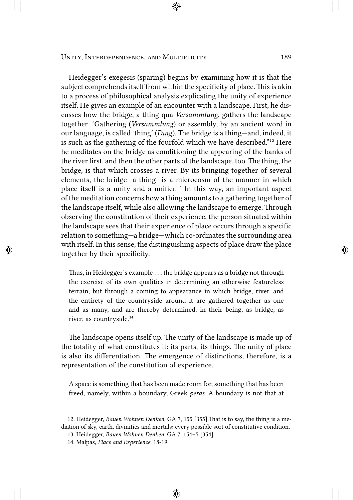Heidegger's exegesis (sparing) begins by examining how it is that the subject comprehends itself from within the specificity of place. This is akin to a process of philosophical analysis explicating the unity of experience itself. He gives an example of an encounter with a landscape. First, he discusses how the bridge, a thing qua *Versammlung*, gathers the landscape together. "Gathering (*Versammlung*) or assembly, by an ancient word in our language, is called 'thing' (*Ding*). The bridge is a thing—and, indeed, it is such as the gathering of the fourfold which we have described."<sup>12</sup> Here he meditates on the bridge as conditioning the appearing of the banks of the river first, and then the other parts of the landscape, too. The thing, the bridge, is that which crosses a river. By its bringing together of several elements, the bridge—a thing—is a microcosm of the manner in which place itself is a unity and a unifier.<sup>13</sup> In this way, an important aspect of the meditation concerns how a thing amounts to a gathering together of the landscape itself, while also allowing the landscape to emerge. Through observing the constitution of their experience, the person situated within the landscape sees that their experience of place occurs through a specific relation to something—a bridge—which co-ordinates the surrounding area with itself. In this sense, the distinguishing aspects of place draw the place together by their specificity.

Thus, in Heidegger's example . . . the bridge appears as a bridge not through the exercise of its own qualities in determining an otherwise featureless terrain, but through a coming to appearance in which bridge, river, and the entirety of the countryside around it are gathered together as one and as many, and are thereby determined, in their being, as bridge, as river, as countryside.<sup>14</sup>

The landscape opens itself up. The unity of the landscape is made up of the totality of what constitutes it: its parts, its things. The unity of place is also its differentiation. The emergence of distinctions, therefore, is a representation of the constitution of experience.

A space is something that has been made room for, something that has been freed, namely, within a boundary, Greek *peras*. A boundary is not that at

13. Heidegger, *Bauen Wohnen Denken*, GA 7. 154–5 [354].

<sup>12.</sup> Heidegger, *Bauen Wohnen Denken*, GA 7, 155 [355].That is to say, the thing is a mediation of sky, earth, divinities and mortals: every possible sort of constitutive condition.

<sup>14.</sup> Malpas, *Place and Experience*, 18-19.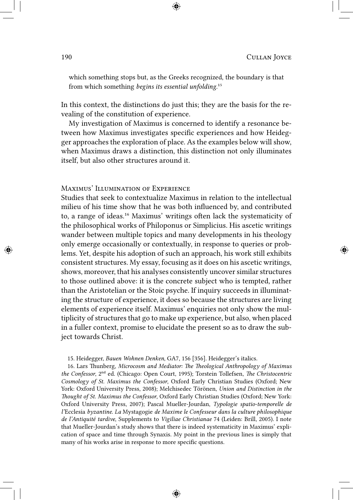which something stops but, as the Greeks recognized, the boundary is that from which something *begins its essential unfolding*.<sup>15</sup>

In this context, the distinctions do just this; they are the basis for the revealing of the constitution of experience.

My investigation of Maximus is concerned to identify a resonance between how Maximus investigates specific experiences and how Heidegger approaches the exploration of place. As the examples below will show, when Maximus draws a distinction, this distinction not only illuminates itself, but also other structures around it.

# Maximus' Illumination of Experience

Studies that seek to contextualize Maximus in relation to the intellectual milieu of his time show that he was both influenced by, and contributed to, a range of ideas.<sup>16</sup> Maximus' writings often lack the systematicity of the philosophical works of Philoponus or Simplicius. His ascetic writings wander between multiple topics and many developments in his theology only emerge occasionally or contextually, in response to queries or problems. Yet, despite his adoption of such an approach, his work still exhibits consistent structures. My essay, focusing as it does on his ascetic writings, shows, moreover, that his analyses consistently uncover similar structures to those outlined above: it is the concrete subject who is tempted, rather than the Aristotelian or the Stoic psyche. If inquiry succeeds in illuminating the structure of experience, it does so because the structures are living elements of experience itself. Maximus' enquiries not only show the multiplicity of structures that go to make up experience, but also, when placed in a fuller context, promise to elucidate the present so as to draw the subject towards Christ.

15. Heidegger, *Bauen Wohnen Denken*, GA7, 156 [356]. Heidegger's italics.

16. Lars Thunberg, *Microcosm and Mediator: The Theological Anthropology of Maximus the Confessor*, 2ⁿᵈ ed. (Chicago: Open Court, 1995); Torstein Tollefsen, *The Christocentric Cosmology of St. Maximus the Confessor*, Oxford Early Christian Studies (Oxford; New York: Oxford University Press, 2008); Melchisedec Törönen, *Union and Distinction in the Thought of St. Maximus the Confessor*, Oxford Early Christian Studies (Oxford; New York: Oxford University Press, 2007); Pascal Mueller-Jourdan, *Typologie spatio-temporelle de l'*Ecclesia *byzantine. La* Mystagogie *de Maxime le Confesseur dans la culture philosophique de l'Antiquité tardive*, Supplements to *Vigiliae Christianae* 74 (Leiden: Brill, 2005). I note that Mueller-Jourdan's study shows that there is indeed systematicity in Maximus' explication of space and time through Synaxis. My point in the previous lines is simply that many of his works arise in response to more specific questions.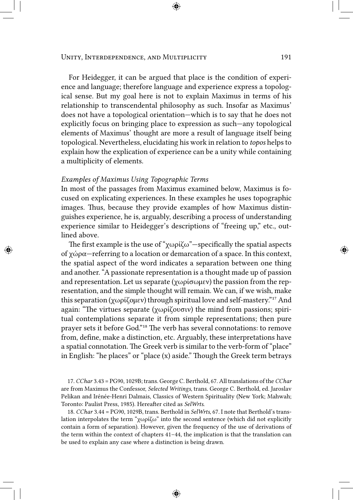#### UNITY, INTERDEPENDENCE, AND MULTIPLICITY 191

For Heidegger, it can be argued that place is the condition of experience and language; therefore language and experience express a topological sense. But my goal here is not to explain Maximus in terms of his relationship to transcendental philosophy as such. Insofar as Maximus' does not have a topological orientation—which is to say that he does not explicitly focus on bringing place to expression as such—any topological elements of Maximus' thought are more a result of language itself being topological. Nevertheless, elucidating his work in relation to *topos* helps to explain how the explication of experience can be a unity while containing a multiplicity of elements.

## *Examples of Maximus Using Topographic Terms*

In most of the passages from Maximus examined below, Maximus is focused on explicating experiences. In these examples he uses topographic images. Thus, because they provide examples of how Maximus distinguishes experience, he is, arguably, describing a process of understanding experience similar to Heidegger's descriptions of "freeing up," etc., outlined above.

The first example is the use of "χωρίζω"—specifically the spatial aspects of χώρα—referring to a location or demarcation of a space. In this context, the spatial aspect of the word indicates a separation between one thing and another. "A passionate representation is a thought made up of passion and representation. Let us separate (χωρίσωμεν) the passion from the representation, and the simple thought will remain. We can, if we wish, make this separation (χωρίζομεν) through spiritual love and self-mastery.<sup>"17</sup> And again: "The virtues separate (χωρίζουσιν) the mind from passions; spiritual contemplations separate it from simple representations; then pure prayer sets it before God."<sup>18</sup> The verb has several connotations: to remove from, define, make a distinction, etc. Arguably, these interpretations have a spatial connotation. The Greek verb is similar to the verb-form of "place" in English: "he places" or "place (x) aside." Though the Greek term betrays

17. *CChar* 3.43 = PG90, 1029B; trans. George C. Berthold, 67. All translations of the *CChar* are from Maximus the Confessor, *Selected Writings*, trans. George C. Berthold, ed. Jaroslav Pelikan and Irénée-Henri Dalmais, Classics of Western Spirituality (New York; Mahwah; Toronto: Paulist Press, 1985). Hereafter cited as *SelWrts*.

18. *CChar* 3.44 = PG90, 1029B, trans. Berthold in *SelWrts*, 67. I note that Berthold's translation interpolates the term "χωρίζω" into the second sentence (which did not explicitly contain a form of separation). However, given the frequency of the use of derivations of the term within the context of chapters 41–44, the implication is that the translation can be used to explain any case where a distinction is being drawn.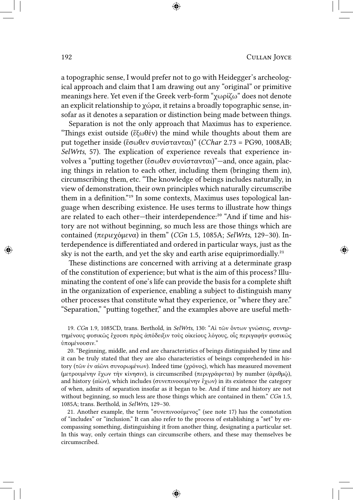a topographic sense, I would prefer not to go with Heidegger's archeological approach and claim that I am drawing out any "original" or primitive meanings here. Yet even if the Greek verb-form "χωρίζω" does not denote an explicit relationship to χώρα, it retains a broadly topographic sense, insofar as it denotes a separation or distinction being made between things.

Separation is not the only approach that Maximus has to experience. "Things exist outside (ἔξωθέν) the mind while thoughts about them are put together inside (ἔσωθεν συνίστανται)" (*CChar* 2.73 = PG90, 1008AB; *SelWrts*, 57). The explication of experience reveals that experience involves a "putting together (ἔσωθεν συνίστανται)"—and, once again, placing things in relation to each other, including them (bringing them in), circumscribing them, etc. "The knowledge of beings includes naturally, in view of demonstration, their own principles which naturally circumscribe them in a definition."<sup>19</sup> In some contexts, Maximus uses topological language when describing existence. He uses terms to illustrate how things are related to each other-their interdependence:<sup>20</sup> "And if time and history are not without beginning, so much less are those things which are contained (περιεχόμενα) in them" (*CGn* 1.5, 1085A; *SelWrts*, 129–30). Interdependence is differentiated and ordered in particular ways, just as the sky is not the earth, and yet the sky and earth arise equiprimordially.<sup>21</sup>

These distinctions are concerned with arriving at a determinate grasp of the constitution of experience; but what is the aim of this process? Illuminating the content of one's life can provide the basis for a complete shift in the organization of experience, enabling a subject to distinguish many other processes that constitute what they experience, or "where they are." "Separation," "putting together," and the examples above are useful meth-

19. *CGn* 1.9, 1085CD, trans. Berthold, in *SelWrts*, 130: "Αἱ τῶν ὄντων γνώσεις, συνηρτημένους φυσικῶς ἔχουσι πρὸς ἀπόδειξιν τοὺς οἰκείους λόγους, οἷς περιγαφὴν φυσικῶς ὑπομένουσιν."

20. "Beginning, middle, and end are characteristics of beings distinguished by time and it can be truly stated that they are also characteristics of beings comprehended in history (τῶν ἐν αἰῶνι συνορωμένων). Indeed time (χρόνος), which has measured movement (μετρουμένην ἔχων τὴν κίνησιν), is circumscribed (περιγράφεται) by number (ἀριθμῷ), and history (αἰὼν), which includes (συνεπινοουμένην ἔχων) in its existence the category of when, admits of separation insofar as it began to be. And if time and history are not without beginning, so much less are those things which are contained in them." *CGn* 1.5, 1085A; trans. Berthold, in *SelWrts*, 129–30.

21. Another example, the term "συνεπινοούμενος" (see note 17) has the connotation of "includes" or "inclusion." It can also refer to the process of establishing a "set" by encompassing something, distinguishing it from another thing, designating a particular set. In this way, only certain things can circumscribe others, and these may themselves be circumscribed.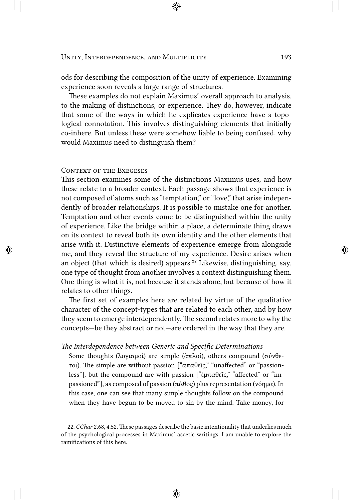ods for describing the composition of the unity of experience. Examining experience soon reveals a large range of structures.

These examples do not explain Maximus' overall approach to analysis, to the making of distinctions, or experience. They do, however, indicate that some of the ways in which he explicates experience have a topological connotation. This involves distinguishing elements that initially co-inhere. But unless these were somehow liable to being confused, why would Maximus need to distinguish them?

#### CONTEXT OF THE EXEGESES

This section examines some of the distinctions Maximus uses, and how these relate to a broader context. Each passage shows that experience is not composed of atoms such as "temptation," or "love," that arise independently of broader relationships. It is possible to mistake one for another. Temptation and other events come to be distinguished within the unity of experience. Like the bridge within a place, a determinate thing draws on its context to reveal both its own identity and the other elements that arise with it. Distinctive elements of experience emerge from alongside me, and they reveal the structure of my experience. Desire arises when an object (that which is desired) appears.²² Likewise, distinguishing, say, one type of thought from another involves a context distinguishing them. One thing is what it is, not because it stands alone, but because of how it relates to other things.

The first set of examples here are related by virtue of the qualitative character of the concept-types that are related to each other, and by how they seem to emerge interdependently. The second relates more to why the concepts—be they abstract or not—are ordered in the way that they are.

#### *The Interdependence between Generic and Specific Determinations*

Some thoughts (λογισμοί) are simple (ἁπλοί), others compound (σύνθετοι). The simple are without passion ["ἀπαθεῖς," "unaffected" or "passionless"], but the compound are with passion ["ἐμπαθεῖς," "affected" or "impassioned"], as composed of passion (πάθος) plus representation (νόημα). In this case, one can see that many simple thoughts follow on the compound when they have begun to be moved to sin by the mind. Take money, for

<sup>22.</sup> *CChar* 2.68, 4.52. These passages describe the basic intentionality that underlies much of the psychological processes in Maximus' ascetic writings. I am unable to explore the ramifications of this here.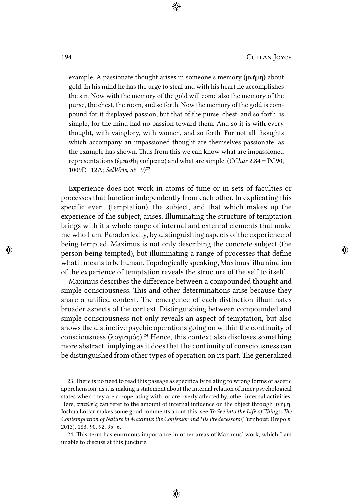example. A passionate thought arises in someone's memory (μνήμη) about gold. In his mind he has the urge to steal and with his heart he accomplishes the sin. Now with the memory of the gold will come also the memory of the purse, the chest, the room, and so forth. Now the memory of the gold is compound for it displayed passion; but that of the purse, chest, and so forth, is simple, for the mind had no passion toward them. And so it is with every thought, with vainglory, with women, and so forth. For not all thoughts which accompany an impassioned thought are themselves passionate, as the example has shown. Thus from this we can know what are impassioned representations (ἐμπαθῆ νοήματα) and what are simple. (*CChar* 2.84 = PG90, 1009D–12A; *SelWrts*, 58–9)²³

Experience does not work in atoms of time or in sets of faculties or processes that function independently from each other. In explicating this specific event (temptation), the subject, and that which makes up the experience of the subject, arises. Illuminating the structure of temptation brings with it a whole range of internal and external elements that make me who I am. Paradoxically, by distinguishing aspects of the experience of being tempted, Maximus is not only describing the concrete subject (the person being tempted), but illuminating a range of processes that define what it means to be human. Topologically speaking, Maximus' illumination of the experience of temptation reveals the structure of the self to itself.

Maximus describes the difference between a compounded thought and simple consciousness. This and other determinations arise because they share a unified context. The emergence of each distinction illuminates broader aspects of the context. Distinguishing between compounded and simple consciousness not only reveals an aspect of temptation, but also shows the distinctive psychic operations going on within the continuity of consciousness (λογισμός).<sup>24</sup> Hence, this context also discloses something more abstract, implying as it does that the continuity of consciousness can be distinguished from other types of operation on its part. The generalized

23. There is no need to read this passage as specifically relating to wrong forms of ascetic apprehension, as it is making a statement about the internal relation of inner psychological states when they are co-operating with, or are overly affected by, other internal activities. Here, ἀπαθεῖς can refer to the amount of internal influence on the object through μνήμη. Joshua Lollar makes some good comments about this; see *To See into the Life of Things: The Contemplation of Nature in Maximus the Confessor and His Predecessors* (Turnhout: Brepols, 2013), 183, 90, 92, 95–6.

24. This term has enormous importance in other areas of Maximus' work, which I am unable to discuss at this juncture.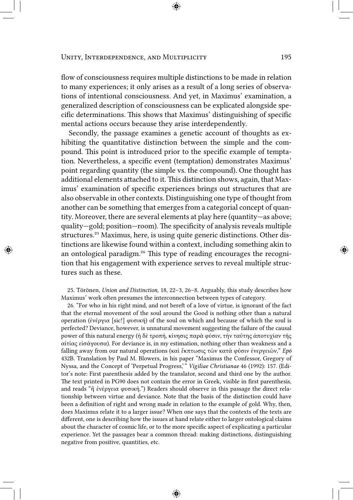flow of consciousness requires multiple distinctions to be made in relation to many experiences; it only arises as a result of a long series of observations of intentional consciousness. And yet, in Maximus' examination, a generalized description of consciousness can be explicated alongside specific determinations. This shows that Maximus' distinguishing of specific mental actions occurs because they arise interdependently.

Secondly, the passage examines a genetic account of thoughts as exhibiting the quantitative distinction between the simple and the compound. This point is introduced prior to the specific example of temptation. Nevertheless, a specific event (temptation) demonstrates Maximus' point regarding quantity (the simple vs. the compound). One thought has additional elements attached to it. This distinction shows, again, that Maximus' examination of specific experiences brings out structures that are also observable in other contexts. Distinguishing one type of thought from another can be something that emerges from a categorial concept of quantity. Moreover, there are several elements at play here (quantity—as above; quality—gold; position—room). The specificity of analysis reveals multiple structures.<sup>25</sup> Maximus, here, is using quite generic distinctions. Other distinctions are likewise found within a context, including something akin to an ontological paradigm.<sup>26</sup> This type of reading encourages the recognition that his engagement with experience serves to reveal multiple structures such as these.

25. Törönen, *Union and Distinction*, 18, 22–3, 26–8. Arguably, this study describes how Maximus' work often presumes the interconnection between types of category.

26. "For who in his right mind, and not bereft of a love of virtue, is ignorant of the fact that the eternal movement of the soul around the Good is nothing other than a natural operation (ἐνέργια [sic!] φυσική) of the soul on which and because of which the soul is perfected? Deviance, however, is unnatural movement suggesting the failure of the causal power of this natural energy (ἡ δὲ τροπὴ, κίνησις παρὰ φύσιν, τὴν ταύτης ἀποτυχίαν τῆς αἰτίας εἰσάγουσα). For deviance is, in my estimation, nothing other than weakness and a falling away from our natural operations (καὶ ἔκπτωσις τῶν κατὰ φύσιν ἐνεργειῶν," *Ep6* 432B. Translation by Paul M. Blowers, in his paper "Maximus the Confessor, Gregory of Nyssa, and the Concept of 'Perpetual Progress,' " *Vigiliae Christianae* 46 (1992): 157. (Editor's note: First parenthesis added by the translator, second and third one by the author. The text printed in PG90 does not contain the error in Greek, visible in first parenthesis, and reads "ἣ ἐνέργεια φυσικὴ.") Readers should observe in this passage the direct relationship between virtue and deviance. Note that the basis of the distinction could have been a definition of right and wrong made in relation to the example of gold. Why, then, does Maximus relate it to a larger issue? When one says that the contexts of the texts are different, one is describing how the issues at hand relate either to larger ontological claims about the character of cosmic life, or to the more specific aspect of explicating a particular experience. Yet the passages bear a common thread: making distinctions, distinguishing negative from positive, quantities, etc.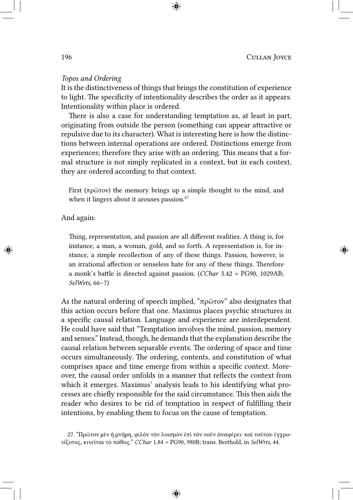## *Topos and Ordering*

It is the distinctiveness of things that brings the constitution of experience to light. The specificity of intentionality describes the order as it appears. Intentionality within place is ordered.

There is also a case for understanding temptation as, at least in part, originating from outside the person (something can appear attractive or repulsive due to its character). What is interesting here is how the distinctions between internal operations are ordered. Distinctions emerge from experiences; therefore they arise with an ordering. This means that a formal structure is not simply replicated in a context, but in each context, they are ordered according to that context.

First (πρῶτον) the memory brings up a simple thought to the mind, and when it lingers about it arouses passion.<sup>27</sup>

## And again:

Thing, representation, and passion are all different realities. A thing is, for instance, a man, a woman, gold, and so forth. A representation is, for instance, a simple recollection of any of these things. Passion, however, is an irrational affection or senseless hate for any of these things. Therefore a monk's battle is directed against passion. (*CChar* 3.42 = PG90, 1029AB; *SelWrts*, 66–7)

As the natural ordering of speech implied, "πρῶτον" also designates that this action occurs before that one. Maximus places psychic structures in a specific causal relation. Language and experience are interdependent. He could have said that "Temptation involves the mind, passion, memory and senses." Instead, though, he demands that the explanation describe the causal relation between separable events. The ordering of space and time occurs simultaneously. The ordering, contents, and constitution of what comprises space and time emerge from within a specific context. Moreover, the causal order unfolds in a manner that reflects the context from which it emerges. Maximus' analysis leads to his identifying what processes are chiefly responsible for the said circumstance. This then aids the reader who desires to be rid of temptation in respect of fulfilling their intentions, by enabling them to focus on the cause of temptation.

<sup>27. &</sup>quot;Πρῶτον μὲν ἡ μνἡμη, φιλὸν τὸν λοισμὸν ἐπὶ τὸν νοῦν ἀναφέρει· καὶ τούτου ἐγχρονίζοτος, κινεῖται τὸ πάθος." *CChar* 1.84 = PG90, 980B; trans. Berthold, in *SelWrts*, 44.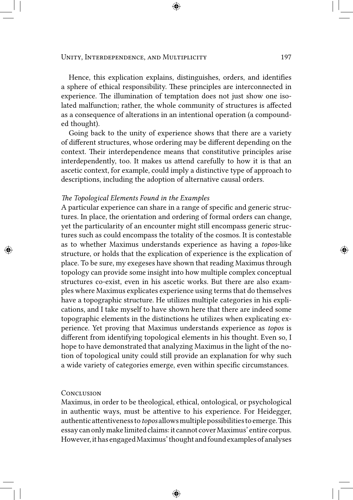#### UNITY, INTERDEPENDENCE, AND MULTIPLICITY 197

Hence, this explication explains, distinguishes, orders, and identifies a sphere of ethical responsibility. These principles are interconnected in experience. The illumination of temptation does not just show one isolated malfunction; rather, the whole community of structures is affected as a consequence of alterations in an intentional operation (a compounded thought).

Going back to the unity of experience shows that there are a variety of different structures, whose ordering may be different depending on the context. Their interdependence means that constitutive principles arise interdependently, too. It makes us attend carefully to how it is that an ascetic context, for example, could imply a distinctive type of approach to descriptions, including the adoption of alternative causal orders.

#### *The Topological Elements Found in the Examples*

A particular experience can share in a range of specific and generic structures. In place, the orientation and ordering of formal orders can change, yet the particularity of an encounter might still encompass generic structures such as could encompass the totality of the cosmos. It is contestable as to whether Maximus understands experience as having a *topos*-like structure, or holds that the explication of experience is the explication of place. To be sure, my exegeses have shown that reading Maximus through topology can provide some insight into how multiple complex conceptual structures co-exist, even in his ascetic works. But there are also examples where Maximus explicates experience using terms that do themselves have a topographic structure. He utilizes multiple categories in his explications, and I take myself to have shown here that there are indeed some topographic elements in the distinctions he utilizes when explicating experience. Yet proving that Maximus understands experience as *topos* is different from identifying topological elements in his thought. Even so, I hope to have demonstrated that analyzing Maximus in the light of the notion of topological unity could still provide an explanation for why such a wide variety of categories emerge, even within specific circumstances.

#### **CONCLUSION**

Maximus, in order to be theological, ethical, ontological, or psychological in authentic ways, must be attentive to his experience. For Heidegger, authenticattentivenessto*topos* allowsmultiplepossibilitiestoemerge.This essay can only make limited claims: it cannot cover Maximus' entirecorpus. However, it has engaged Maximus' thought and found examples of analyses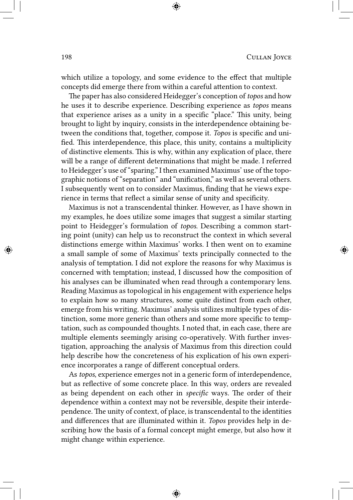which utilize a topology, and some evidence to the effect that multiple concepts did emerge there from within a careful attention to context.

The paper has also considered Heidegger's conception of *topos* and how he uses it to describe experience. Describing experience as *topos* means that experience arises as a unity in a specific "place." This unity, being brought to light by inquiry, consists in the interdependence obtaining between the conditions that, together, compose it. *Topos* is specific and unified. This interdependence, this place, this unity, contains a multiplicity of distinctive elements. This is why, within any explication of place, there will be a range of different determinations that might be made. I referred to Heidegger's use of "sparing." I then examined Maximus' use of the topographic notions of "separation" and "unification," as well as several others. I subsequently went on to consider Maximus, finding that he views experience in terms that reflect a similar sense of unity and specificity.

Maximus is not a transcendental thinker. However, as I have shown in my examples, he does utilize some images that suggest a similar starting point to Heidegger's formulation of *topos*. Describing a common starting point (unity) can help us to reconstruct the context in which several distinctions emerge within Maximus' works. I then went on to examine a small sample of some of Maximus' texts principally connected to the analysis of temptation. I did not explore the reasons for why Maximus is concerned with temptation; instead, I discussed how the composition of his analyses can be illuminated when read through a contemporary lens. Reading Maximus as topological in his engagement with experience helps to explain how so many structures, some quite distinct from each other, emerge from his writing. Maximus' analysis utilizes multiple types of distinction, some more generic than others and some more specific to temptation, such as compounded thoughts. I noted that, in each case, there are multiple elements seemingly arising co-operatively. With further investigation, approaching the analysis of Maximus from this direction could help describe how the concreteness of his explication of his own experience incorporates a range of different conceptual orders.

As *topos*, experience emerges not in a generic form of interdependence, but as reflective of some concrete place. In this way, orders are revealed as being dependent on each other in *specific* ways. The order of their dependence within a context may not be reversible, despite their interdependence. The unity of context, of place, is transcendental to the identities and differences that are illuminated within it. *Topos* provides help in describing how the basis of a formal concept might emerge, but also how it might change within experience.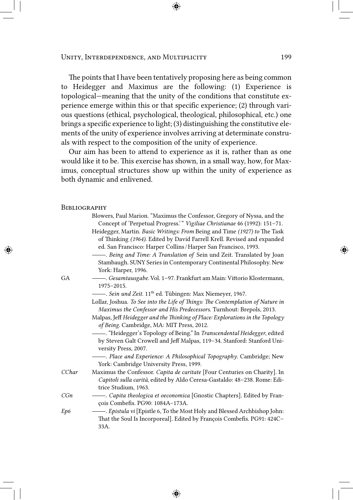The points that I have been tentatively proposing here as being common to Heidegger and Maximus are the following: (1) Experience is topological—meaning that the unity of the conditions that constitute experience emerge within this or that specific experience; (2) through various questions (ethical, psychological, theological, philosophical, etc.) one brings a specific experience to light; (3) distinguishing the constitutive elements of the unity of experience involves arriving at determinate construals with respect to the composition of the unity of experience.

Our aim has been to attend to experience as it is, rather than as one would like it to be. This exercise has shown, in a small way, how, for Maximus, conceptual structures show up within the unity of experience as both dynamic and enlivened.

#### **BIBLIOGRAPHY**

|       | Blowers, Paul Marion. "Maximus the Confessor, Gregory of Nyssa, and the<br>Concept of 'Perpetual Progress.'" Vigiliae Christianae 46 (1992): 151-71.                                                                    |
|-------|-------------------------------------------------------------------------------------------------------------------------------------------------------------------------------------------------------------------------|
|       | Heidegger, Martin. Basic Writings: From Being and Time (1927) to The Task<br>of Thinking (1964). Edited by David Farrell Krell. Revised and expanded<br>ed. San Francisco: Harper Collins / Harper San Francisco, 1993. |
|       | - Being and Time: A Translation of Sein und Zeit. Translated by Joan<br>Stambaugh. SUNY Series in Contemporary Continental Philosophy. New<br>York: Harper, 1996.                                                       |
| GA    | 1975-2015.                                                                                                                                                                                                              |
|       | - Sein und Zeit. 11 <sup>th</sup> ed. Tübingen: Max Niemeyer, 1967.                                                                                                                                                     |
|       | Lollar, Joshua. To See into the Life of Things: The Contemplation of Nature in<br>Maximus the Confessor and His Predecessors. Turnhout: Brepols, 2013.                                                                  |
|       | Malpas, Jeff Heidegger and the Thinking of Place: Explorations in the Topology<br>of Being. Cambridge, MA: MIT Press, 2012.                                                                                             |
|       | - "Heidegger's Topology of Being." In Transcendental Heidegger, edited<br>by Steven Galt Crowell and Jeff Malpas, 119-34. Stanford: Stanford Uni-<br>versity Press, 2007.                                               |
|       | - Place and Experience: A Philosophical Topography. Cambridge; New<br>York: Cambridge University Press, 1999.                                                                                                           |
| CChar | Maximus the Confessor. Capita de caritate [Four Centuries on Charity]. In<br>Capitoli sulla carità, edited by Aldo Ceresa-Gastaldo: 48-238. Rome: Edi-<br>trice Studium, 1963.                                          |
| CGn   | - Capita theologica et oeconomica [Gnostic Chapters]. Edited by Fran-<br>çois Combefis. PG90: 1084A-173A.                                                                                                               |
| Ep6   | That the Soul Is Incorporeal]. Edited by François Combefis. PG91: 424C-<br>33A.                                                                                                                                         |